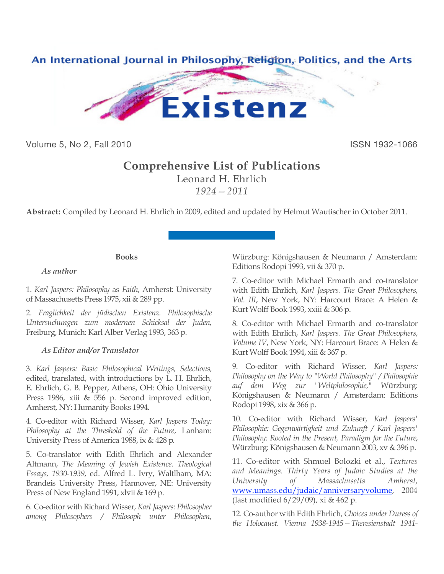

Volume 5, No 2, Fall 2010 **ISSN 1932-1066** 

# **Comprehensive List of Publications**

Leonard H. Ehrlich *1924—2011*

**Abstract:** Compiled by Leonard H. Ehrlich in 2009, edited and updated by Helmut Wautischer in October 2011.

# **Books**

# *As author*

1. *Karl Jaspers: Philosophy* as *Faith*, Amherst: University of Massachusetts Press 1975, xii & 289 pp.

2. *Fraglichkeit der jüdischen Existenz. Philosophische Untersuchungen zum modernen Schicksal der Juden*, Freiburg, Munich: Karl Alber Verlag 1993, 363 p.

# *As Editor and/or Translator*

3. *Karl Jaspers: Basic Philosophical Writings, Selections,*  edited, translated, with introductions by L. H. Ehrlich, E. Ehrlich, G. B. Pepper, Athens, OH: Ohio University Press 1986, xiii & 556 p. Second improved edition, Amherst, NY: Humanity Books 1994.

4. Co-editor with Richard Wisser, *Karl Jaspers Today: Philosophy at the Threshold of the Future*, Lanham: University Press of America 1988, ix & 428 p.

5. Co-translator with Edith Ehrlich and Alexander Altmann, *The Meaning of Jewish Existence. Theological Essays, 1930-1939*, ed. Alfred L. Ivry, Waltlham, MA: Brandeis University Press, Hannover, NE: University Press of New England 1991, xlvii & 169 p.

6. Co-editor with Richard Wisser, *Karl Jaspers: Philosopher among Philosophers / Philosoph unter Philosophen*, Würzburg: Königshausen & Neumann / Amsterdam: Editions Rodopi 1993, vii & 370 p.

7. Co-editor with Michael Ermarth and co-translator with Edith Ehrlich, *Karl Jaspers. The Great Philosophers, Vol. III*, New York, NY: Harcourt Brace: A Helen & Kurt Wolff Book 1993, xxiii & 306 p.

8. Co-editor with Michael Ermarth and co-translator with Edith Ehrlich, *Karl Jaspers. The Great Philosophers, Volume IV*, New York, NY: Harcourt Brace: A Helen & Kurt Wolff Book 1994, xiii & 367 p.

9. Co-editor with Richard Wisser, *Karl Jaspers: Philosophy on the Way to "World Philosophy" / Philosophie auf dem Weg zur "Weltphilosophie,"* Würzburg: Königshausen & Neumann / Amsterdam: Editions Rodopi 1998, xix & 366 p.

10. Co-editor with Richard Wisser, *Karl Jaspers' Philosophie: Gegenwärtigkeit und Zukunft / Karl Jaspers' Philosophy: Rooted in the Present, Paradigm for the Future*, Würzburg: Königshausen & Neumann 2003, xv & 396 p.

11. Co-editor with Shmuel Bolozki et al., *Textures and Meanings. Thirty Years of Judaic Studies at the University of Massachusetts Amherst*, www.umass.edu/judaic/anniversaryvolume, 2004 (last modified 6/29/09), xi & 462 p.

12. Co-author with Edith Ehrlich, *Choices under Duress of the Holocaust. Vienna 1938-1945—Theresienstadt 1941-*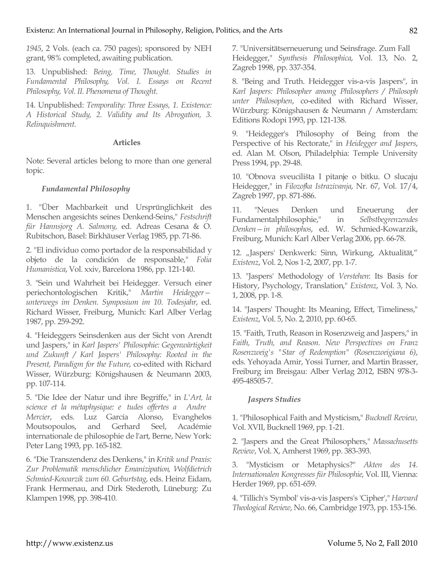*1945*, 2 Vols. (each ca. 750 pages); sponsored by NEH grant, 98% completed, awaiting publication.

13. Unpublished: *Being, Time, Thought. Studies in Fundamental Philosophy, Vol. I. Essays on Recent Philosophy, Vol. II. Phenomena of Thought*.

14. Unpublished: *Temporality: Three Essays, 1. Existence: A Historical Study, 2. Validity and Its Abrogation, 3. Relinquishment*.

#### **Articles**

Note: Several articles belong to more than one general topic.

### *Fundamental Philosophy*

1. "Über Machbarkeit und Ursprünglichkeit des Menschen angesichts seines Denkend-Seins," *Festschrift für Hannsjorg A. Salmony,* ed. Adreas Cesana & O. Rubitschon, Basel: Birkhäuser Verlag 1985, pp. 71-86.

2. "El individuo como portador de la responsabilidad y objeto de la condición de responsable," *Folia Humanistica*, Vol. xxiv, Barcelona 1986, pp. 121-140.

3. "Sein und Wahrheit bei Heidegger. Versuch einer periechontologischen Kritik," *Martin Heidegger unterwegs im Denken. Symposium im 10. Todesjahr*, ed. Richard Wisser, Freiburg, Munich: Karl Alber Verlag 1987, pp. 259-292.

4. "Heideggers Seinsdenken aus der Sicht von Arendt und Jaspers," in *Karl Jaspers' Philosophie: Gegenwärtigkeit und Zukunft / Karl Jaspers' Philosophy: Rooted in the Present, Paradigm for the Future*, co-edited with Richard Wisser, Würzburg: Königshausen & Neumann 2003, pp. 107-114.

5. "Die Idee der Natur und ihre Begriffe," in *L'Art, la science et la métaphysique: e tudes offertes a Andre Mercier*, eds. Luz García Alonso, Evanghelos Moutsopoulos, and Gerhard Seel, Académie internationale de philosophie de l'art, Berne, New York: Peter Lang 1993, pp. 165-182.

6. "Die Transzendenz des Denkens," in *Kritik und Praxis: Zur Problematik menschlicher Emanizipation, Wolfdietrich Schmied-Kowarzik zum 60. Geburtstag*, eds. Heinz Eidam, Frank Hermenau, and Dirk Stederoth, Lüneburg: Zu Klampen 1998, pp. 398-410.

7. "Universitätserneuerung und Seinsfrage. Zum Fall Heidegger," *Synthesis Philosophica*, Vol. 13, No. 2, Zagreb 1998, pp. 337-354.

8. "Being and Truth. Heidegger vis-a-vis Jaspers", in *Karl Jaspers: Philosopher among Philosophers / Philosoph unter Philosophen*, co-edited with Richard Wisser, Würzburg: Königshausen & Neumann / Amsterdam: Editions Rodopi 1993, pp. 121-138.

9. "Heidegger's Philosophy of Being from the Perspective of his Rectorate," in *Heidegger and Jaspers*, ed. Alan M. Olson, Philadelphia: Temple University Press 1994, pp. 29-48.

10. "Obnova sveucilišta I pitanje o bitku. O slucaju Heidegger," in *Filozofka Istrazivanja*, Nr. 67, Vol. 17/4, Zagreb 1997, pp. 871-886.

11. "Neues Denken und Eneuerung der Fundamentalphilosophie," in *Selbstbegrenzendes Denken—in philosophos*, ed. W. Schmied-Kowarzik, Freiburg, Munich: Karl Alber Verlag 2006, pp. 66-78.

12. "Jaspers' Denkwerk: Sinn, Wirkung, Aktualität," *Existenz*, Vol. 2, Nos 1-2, 2007, pp. 1-7.

13. "Jaspers' Methodology of *Verstehen*: Its Basis for History, Psychology, Translation," *Existenz*, Vol. 3, No. 1, 2008, pp. 1-8.

14. "Jaspers' Thought: Its Meaning, Effect, Timeliness," *Existenz*, Vol. 5, No. 2, 2010, pp. 60-65.

15. "Faith, Truth, Reason in Rosenzweig and Jaspers," in *Faith, Truth, and Reason. New Perspectives on Franz Rosenzweig's "Star of Redemption" (Rosenzweigiana 6)*, eds. Yehoyada Amir, Yossi Turner, and Martin Brasser, Freiburg im Breisgau: Alber Verlag 2012, ISBN 978-3- 495-48505-7.

#### *Jaspers Studies*

1. "Philosophical Faith and Mysticism," *Bucknell Review,*  Vol. XVII, Bucknell 1969, pp. 1-21.

2. "Jaspers and the Great Philosophers," *Massachusetts Review*, Vol. X, Amherst 1969, pp. 383-393.

3. "Mysticism or Metaphysics?" *Akten des 14. Internationalen Kongresses für Philosophie*, Vol. III, Vienna: Herder 1969, pp. 651-659.

4. "Tillich's 'Symbol' vis-a-vis Jaspers's 'Cipher'," *Harvard Theological Review*, No. 66, Cambridge 1973, pp. 153-156.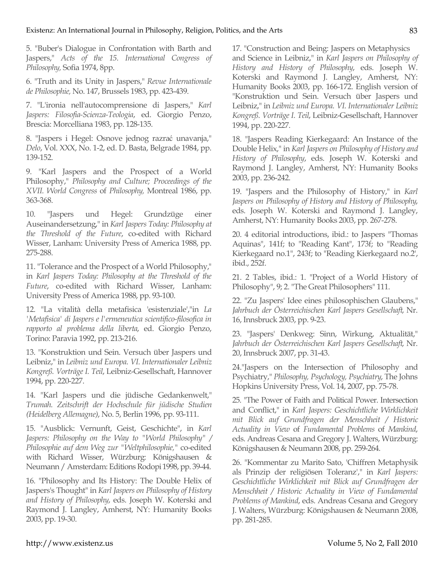5. "Buber's Dialogue in Confrontation with Barth and Jaspers," *Acts of the 15. International Congress of Philosophy,* Sofia 1974, 8pp.

6. "Truth and its Unity in Jaspers," *Revue Internationale de Philosophie,* No. 147, Brussels 1983, pp. 423-439.

7. "L'ironia nell'autocomprensione di Jaspers," *Karl Jaspers: Filosofia-Scienza-Teologia*, ed. Giorgio Penzo, Brescia: Morcelliana 1983, pp. 128-135.

8. "Jaspers i Hegel: Osnove jednog razrać unavanja," *Delo*, Vol. XXX, No. 1-2, ed. D. Basta, Belgrade 1984, pp. 139-152.

9. "Karl Jaspers and the Prospect of a World Philosophy," *Philosophy and Culture; Proceedings of the XVII. World Congress* of *Philosophy,* Montreal 1986, pp. 363-368.

10. "Jaspers und Hegel: Grundzüge einer Auseinandersetzung," in *Karl Jaspers Today: Philosophy at the Threshold of the Future*, co-edited with Richard Wisser, Lanham: University Press of America 1988, pp. 275-288.

11. "Tolerance and the Prospect of a World Philosophy," in *Karl Jaspers Today: Philosophy at the Threshold of the Future*, co-edited with Richard Wisser, Lanham: University Press of America 1988, pp. 93-100.

12. "La vitalità della metafisica 'esistenziale',"in *La 'Metafisica' di Jaspers e l'ermeneutica scientifico-filosofica in rapporto al problema della liberta*, ed. Giorgio Penzo, Torino: Paravia 1992, pp. 213-216.

13. "Konstruktion und Sein. Versuch über Jaspers und Leibniz," in *Leibniz und Europa. VI. Internationaler Leibniz Kongreß. Vorträge I. Teil*, Leibniz-Gesellschaft, Hannover 1994, pp. 220-227.

14. "Karl Jaspers und die jüdische Gedankenwelt," *Trumah. Zeitschrift der Hochschule für jüdische Studien (Heidelberg Allemagne)*, No. 5, Berlin 1996, pp. 93-111.

15. "Ausblick: Vernunft, Geist, Geschichte", in *Karl Jaspers: Philosophy on the Way to "World Philosophy" / Philosophie auf dem Weg zur "Weltphilosophie,"* co-edited with Richard Wisser, Würzburg: Königshausen & Neumann / Amsterdam: Editions Rodopi 1998, pp. 39-44.

16. "Philosophy and Its History: The Double Helix of Jaspers's Thought" in *Karl Jaspers on Philosophy of History and History of Philosophy*, eds. Joseph W. Koterski and Raymond J. Langley, Amherst, NY: Humanity Books 2003, pp. 19-30.

17. "Construction and Being: Jaspers on Metaphysics and Science in Leibniz," in *Karl Jaspers on Philosophy of History and History of Philosophy*, eds. Joseph W. Koterski and Raymond J. Langley, Amherst, NY: Humanity Books 2003, pp. 166-172. English version of "Konstruktion und Sein. Versuch über Jaspers und Leibniz," in *Leibniz und Europa. VI. Internationaler Leibniz Kongreß. Vorträge I. Teil*, Leibniz-Gesellschaft, Hannover 1994, pp. 220-227.

18. "Jaspers Reading Kierkegaard: An Instance of the Double Helix," in *Karl Jaspers on Philosophy of History and History of Philosophy*, eds. Joseph W. Koterski and Raymond J. Langley, Amherst, NY: Humanity Books 2003, pp. 236-242.

19. "Jaspers and the Philosophy of History," in *Karl Jaspers on Philosophy of History and History of Philosophy*, eds. Joseph W. Koterski and Raymond J. Langley, Amherst, NY: Humanity Books 2003, pp. 267-278.

20. 4 editorial introductions, ibid.: to Jaspers "Thomas Aquinas", 141f; to "Reading Kant", 173f; to "Reading Kierkegaard no.1", 243f; to "Reading Kierkegaard no.2', ibid., 252f.

21. 2 Tables, ibid.: 1. "Project of a World History of Philosophy", 9; 2. "The Great Philosophers" 111.

22. "Zu Jaspers' Idee eines philosophischen Glaubens," *Jahrbuch der Österreichischen Karl Jaspers Gesellschaft*, Nr. 16, Innsbruck 2003, pp. 9-23.

23. "Jaspers' Denkweg: Sinn, Wirkung, Aktualität," *Jahrbuch der Österreichischen Karl Jaspers Gesellschaft*, Nr. 20, Innsbruck 2007, pp. 31-43.

24."Jaspers on the Intersection of Philosophy and Psychiatry," *Philosophy, Psychology, Psychiatry*, The Johns Hopkins University Press, Vol. 14, 2007, pp. 75-78.

25. "The Power of Faith and Political Power. Intersection and Conflict," in *Karl Jaspers: Geschichtliche Wirklichkeit mit Blick auf Grundfragen der Menschheit / Historic Actuality in View* of *Fundamental Problems* of *Mankind*, eds. Andreas Cesana and Gregory J. Walters, Würzburg: Königshausen & Neumann 2008, pp. 259-264.

26. "Kommentar zu Marito Sato, 'Chiffren Metaphysik als Prinzip der religiösen Toleranz'," in *Karl Jaspers: Geschichtliche Wirklichkeit mit Blick auf Grundfragen der Menschheit / Historic Actuality in View of Fundamental Problems of Mankind*, eds. Andreas Cesana and Gregory J. Walters, Würzburg: Königshausen & Neumann 2008, pp. 281-285.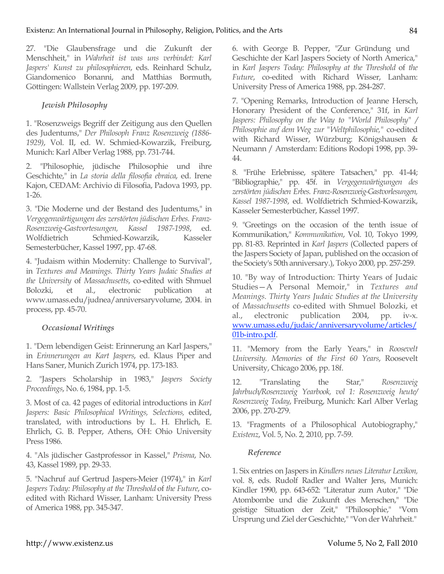27. "Die Glaubensfrage und die Zukunft der Menschheit," in *Wahrheit ist was uns verbindet: Karl Jaspers' Kunst zu philosophieren*, eds. Reinhard Schulz, Giandomenico Bonanni, and Matthias Bormuth, Göttingen: Wallstein Verlag 2009, pp. 197-209.

# *Jewish Philosophy*

1. "Rosenzweigs Begriff der Zeitigung aus den Quellen des Judentums," *Der Philosoph Franz Rosenzweig (1886- 1929)*, Vol. II, ed. W. Schmied-Kowarzik, Freiburg, Munich: Karl Alber Verlag 1988, pp. 731-744.

2. "Philosophie, jüdische Philosophie und ihre Geschichte," in *La storia della filosofia ebraica*, ed. Irene Kajon, CEDAM: Archivio di Filosofia, Padova 1993, pp. 1-26.

3. "Die Moderne und der Bestand des Judentums," in *Vergegenwärtigungen des zerstörten jüdischen Erbes. Franz-Rosenzweig-Gastvortesungen, Kassel 1987-1998*, ed. Wolfdietrich Schmied-Kowarzik, Kasseler Semesterbücher, Kassel 1997, pp. 47-68.

4. "Judaism within Modernity: Challenge to Survival", in *Textures and Meanings. Thirty Years Judaic Studies at the University* of *Massachusetts*, co-edited with Shmuel Bolozki, et al., electronic publication at www.umass.edu/judnea/anniversaryvolume, 2004. in process, pp. 45-70.

#### *Occasional Writings*

1. "Dem lebendigen Geist: Erinnerung an Karl Jaspers," in *Erinnerungen an Kart Jaspers*, ed. Klaus Piper and Hans Saner, Munich Zurich 1974, pp. 173-183.

2. "Jaspers Scholarship in 1983," *Jaspers Society Proceedings*, No. 6, 1984, pp. 1-5.

3. Most of ca. 42 pages of editorial introductions in *Karl Jaspers: Basic Philosophical Writings, Selections,* edited, translated, with introductions by L. H. Ehrlich, E. Ehrlich, G. B. Pepper, Athens, OH: Ohio University Press 1986.

4. "Als jüdischer Gastprofessor in Kassel," *Prisma*, No. 43, Kassel 1989, pp. 29-33.

5. "Nachruf auf Gertrud Jaspers-Meier (1974)," in *Karl Jaspers Today: Philosophy at the Threshold* of *the Future*, coedited with Richard Wisser, Lanham: University Press of America 1988, pp. 345-347.

6. with George B. Pepper, "Zur Gründung und Geschichte der Karl Jaspers Society of North America," in *Karl Jaspers Today: Philosophy at the Threshold* of *the Future*, co-edited with Richard Wisser, Lanham: University Press of America 1988, pp. 284-287.

7. "Opening Remarks, Introduction of Jeanne Hersch, Honorary President of the Conference," 31f, in *Karl Jaspers: Philosophy on the Way to "World Philosophy" / Philosophie auf dem Weg zur "Weltphilosophie,"* co-edited with Richard Wisser, Würzburg: Königshausen & Neumann / Amsterdam: Editions Rodopi 1998, pp. 39- 44.

8. "Frühe Erlebnisse, spätere Tatsachen," pp. 41-44; "Bibliographie," pp. 45f. in *Vergegenwärtigungen des zerstörten jüdischen Erbes. Franz-Rosenzweig-Gastvorlesungen, Kassel 1987-1998*, ed. Wolfdietrich Schmied-Kowarzik, Kasseler Semesterbücher, Kassel 1997.

9. "Greetings on the occasion of the tenth issue of Kommunikation," *Kommunikation*, Vol. 10, Tokyo 1999, pp. 81-83. Reprinted in *Karl Jaspers* (Collected papers of the Jaspers Society of Japan, published on the occasion of the Society's 50th anniversary.), Tokyo 2000, pp. 257-259.

10. "By way of Introduction: Thirty Years of Judaic Studies—A Personal Memoir," in *Textures and Meanings. Thirty Years Judaic Studies at the University*  of *Massachusetts* co-edited with Shmuel Bolozki, et al., electronic publication 2004, pp. iv-x. www.umass.edu/judaic/anniversaryvolume/articles/ 01b-intro.pdf.

11. "Memory from the Early Years," in *Roosevelt University. Memories* of *the First 60 Years*, Roosevelt University, Chicago 2006, pp. 18f.

12. "Translating the Star," *Rosenzweig Jahrbuch/Rosenzweig Yearbook, vol 1: Rosenzweig heute/ Rosenzweig Today*, Freiburg, Munich: Karl Alber Verlag 2006, pp. 270-279.

13. "Fragments of a Philosophical Autobiography," *Existenz*, Vol. 5, No. 2, 2010, pp. 7-59.

#### *Reference*

1. Six entries on Jaspers in *Kindlers neues Literatur Lexikon,*  vol. 8, eds. Rudolf Radler and Walter Jens, Munich: Kindler 1990, pp. 643-652: "Literatur zum Autor," "Die Atombombe und die Zukunft des Menschen," "Die geistige Situation der Zeit," "Philosophie," "Vom Ursprung und Ziel der Geschichte," "Von der Wahrheit."